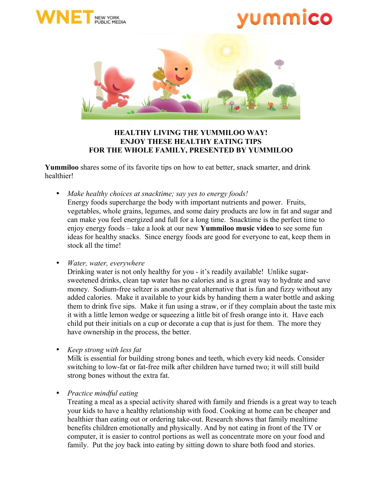





## **HEALTHY LIVING THE YUMMILOO WAY! ENJOY THESE HEALTHY EATING TIPS FOR THE WHOLE FAMILY, PRESENTED BY YUMMILOO**

**Yummiloo** shares some of its favorite tips on how to eat better, snack smarter, and drink healthier!

• *Make healthy choices at snacktime; say yes to energy foods!* Energy foods supercharge the body with important nutrients and power. Fruits, vegetables, whole grains, legumes, and some dairy products are low in fat and sugar and can make you feel energized and full for a long time. Snacktime is the perfect time to enjoy energy foods – take a look at our new **Yummiloo music video** to see some fun ideas for healthy snacks. Since energy foods are good for everyone to eat, keep them in stock all the time!

• *Water, water, everywhere*

Drinking water is not only healthy for you - it's readily available! Unlike sugarsweetened drinks, clean tap water has no calories and is a great way to hydrate and save money. Sodium-free seltzer is another great alternative that is fun and fizzy without any added calories. Make it available to your kids by handing them a water bottle and asking them to drink five sips. Make it fun using a straw, or if they complain about the taste mix it with a little lemon wedge or squeezing a little bit of fresh orange into it. Have each child put their initials on a cup or decorate a cup that is just for them. The more they have ownership in the process, the better.

• *Keep strong with less fat*

Milk is essential for building strong bones and teeth, which every kid needs. Consider switching to low-fat or fat-free milk after children have turned two; it will still build strong bones without the extra fat.

• *Practice mindful eating*

Treating a meal as a special activity shared with family and friends is a great way to teach your kids to have a healthy relationship with food. Cooking at home can be cheaper and healthier than eating out or ordering take-out. Research shows that family mealtime benefits children emotionally and physically. And by not eating in front of the TV or computer, it is easier to control portions as well as concentrate more on your food and family. Put the joy back into eating by sitting down to share both food and stories.